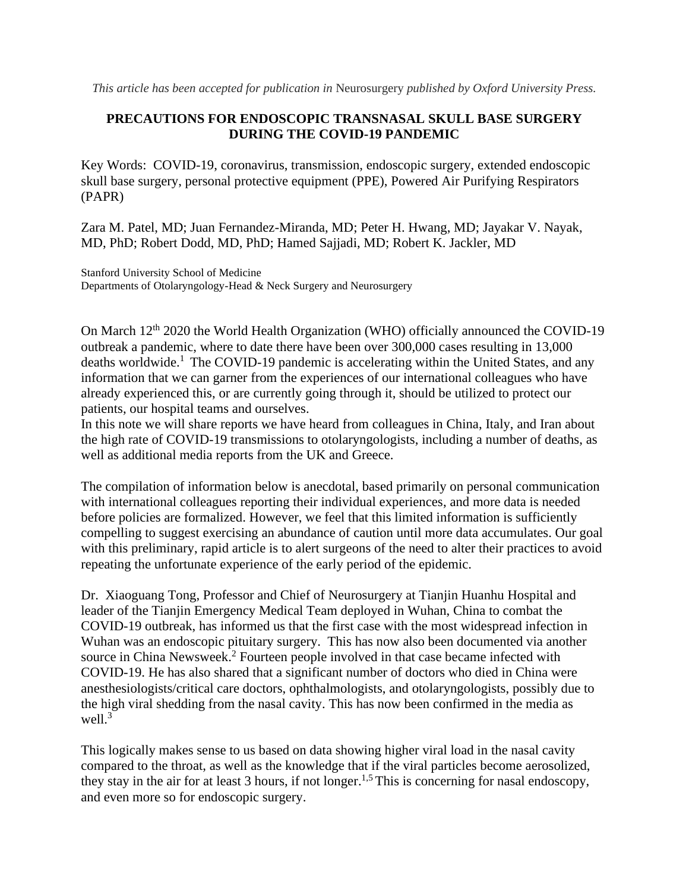*This article has been accepted for publication in* Neurosurgery *published by Oxford University Press.*

## **PRECAUTIONS FOR ENDOSCOPIC TRANSNASAL SKULL BASE SURGERY DURING THE COVID-19 PANDEMIC**

Key Words: COVID-19, coronavirus, transmission, endoscopic surgery, extended endoscopic skull base surgery, personal protective equipment (PPE), Powered Air Purifying Respirators (PAPR)

Zara M. Patel, MD; Juan Fernandez-Miranda, MD; Peter H. Hwang, MD; Jayakar V. Nayak, MD, PhD; Robert Dodd, MD, PhD; Hamed Sajjadi, MD; Robert K. Jackler, MD

Stanford University School of Medicine Departments of Otolaryngology-Head & Neck Surgery and Neurosurgery

On March 12<sup>th</sup> 2020 the World Health Organization (WHO) officially announced the COVID-19 outbreak a pandemic, where to date there have been over 300,000 cases resulting in 13,000 deaths worldwide.<sup>1</sup> The COVID-19 pandemic is accelerating within the United States, and any information that we can garner from the experiences of our international colleagues who have already experienced this, or are currently going through it, should be utilized to protect our patients, our hospital teams and ourselves.

In this note we will share reports we have heard from colleagues in China, Italy, and Iran about the high rate of COVID-19 transmissions to otolaryngologists, including a number of deaths, as well as additional media reports from the UK and Greece.

The compilation of information below is anecdotal, based primarily on personal communication with international colleagues reporting their individual experiences, and more data is needed before policies are formalized. However, we feel that this limited information is sufficiently compelling to suggest exercising an abundance of caution until more data accumulates. Our goal with this preliminary, rapid article is to alert surgeons of the need to alter their practices to avoid repeating the unfortunate experience of the early period of the epidemic.

Dr. Xiaoguang Tong, Professor and Chief of Neurosurgery at Tianjin Huanhu Hospital and leader of the Tianjin Emergency Medical Team deployed in Wuhan, China to combat the COVID-19 outbreak, has informed us that the first case with the most widespread infection in Wuhan was an endoscopic pituitary surgery. This has now also been documented via another source in China Newsweek.<sup>2</sup> Fourteen people involved in that case became infected with COVID-19. He has also shared that a significant number of doctors who died in China were anesthesiologists/critical care doctors, ophthalmologists, and otolaryngologists, possibly due to the high viral shedding from the nasal cavity. This has now been confirmed in the media as well. $3^{\degree}$ 

This logically makes sense to us based on data showing higher viral load in the nasal cavity compared to the throat, as well as the knowledge that if the viral particles become aerosolized, they stay in the air for at least 3 hours, if not longer.<sup>1,5</sup> This is concerning for nasal endoscopy, and even more so for endoscopic surgery.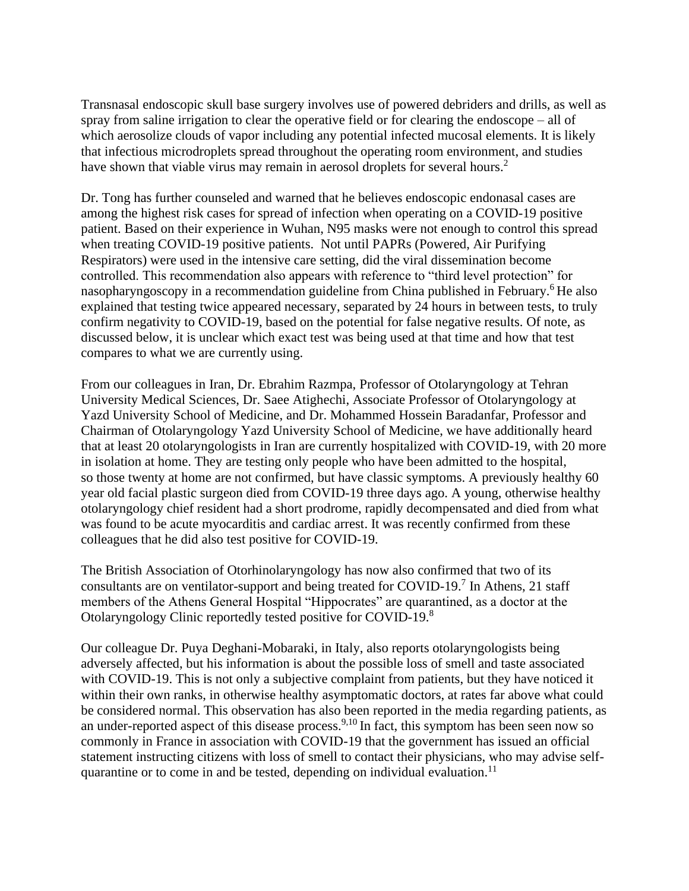Transnasal endoscopic skull base surgery involves use of powered debriders and drills, as well as spray from saline irrigation to clear the operative field or for clearing the endoscope – all of which aerosolize clouds of vapor including any potential infected mucosal elements. It is likely that infectious microdroplets spread throughout the operating room environment, and studies have shown that viable virus may remain in aerosol droplets for several hours.<sup>2</sup>

Dr. Tong has further counseled and warned that he believes endoscopic endonasal cases are among the highest risk cases for spread of infection when operating on a COVID-19 positive patient. Based on their experience in Wuhan, N95 masks were not enough to control this spread when treating COVID-19 positive patients. Not until PAPRs (Powered, Air Purifying Respirators) were used in the intensive care setting, did the viral dissemination become controlled. This recommendation also appears with reference to "third level protection" for nasopharyngoscopy in a recommendation guideline from China published in February.<sup>6</sup> He also explained that testing twice appeared necessary, separated by 24 hours in between tests, to truly confirm negativity to COVID-19, based on the potential for false negative results. Of note, as discussed below, it is unclear which exact test was being used at that time and how that test compares to what we are currently using.

From our colleagues in Iran, Dr. Ebrahim Razmpa, Professor of Otolaryngology at Tehran University Medical Sciences, Dr. Saee Atighechi, Associate Professor of Otolaryngology at Yazd University School of Medicine, and Dr. Mohammed Hossein Baradanfar, Professor and Chairman of Otolaryngology Yazd University School of Medicine, we have additionally heard that at least 20 otolaryngologists in Iran are currently hospitalized with COVID-19, with 20 more in isolation at home. They are testing only people who have been admitted to the hospital, so those twenty at home are not confirmed, but have classic symptoms. A previously healthy 60 year old facial plastic surgeon died from COVID-19 three days ago. A young, otherwise healthy otolaryngology chief resident had a short prodrome, rapidly decompensated and died from what was found to be acute myocarditis and cardiac arrest. It was recently confirmed from these colleagues that he did also test positive for COVID-19.

The British Association of Otorhinolaryngology has now also confirmed that two of its consultants are on ventilator-support and being treated for COVID-19.<sup>7</sup> In Athens, 21 staff members of the Athens General Hospital "Hippocrates" are quarantined, as a doctor at the Otolaryngology Clinic reportedly tested positive for COVID-19.<sup>8</sup>

Our colleague Dr. Puya Deghani-Mobaraki, in Italy, also reports otolaryngologists being adversely affected, but his information is about the possible loss of smell and taste associated with COVID-19. This is not only a subjective complaint from patients, but they have noticed it within their own ranks, in otherwise healthy asymptomatic doctors, at rates far above what could be considered normal. This observation has also been reported in the media regarding patients, as an under-reported aspect of this disease process.<sup>9,10</sup> In fact, this symptom has been seen now so commonly in France in association with COVID-19 that the government has issued an official statement instructing citizens with loss of smell to contact their physicians, who may advise selfquarantine or to come in and be tested, depending on individual evaluation.<sup>11</sup>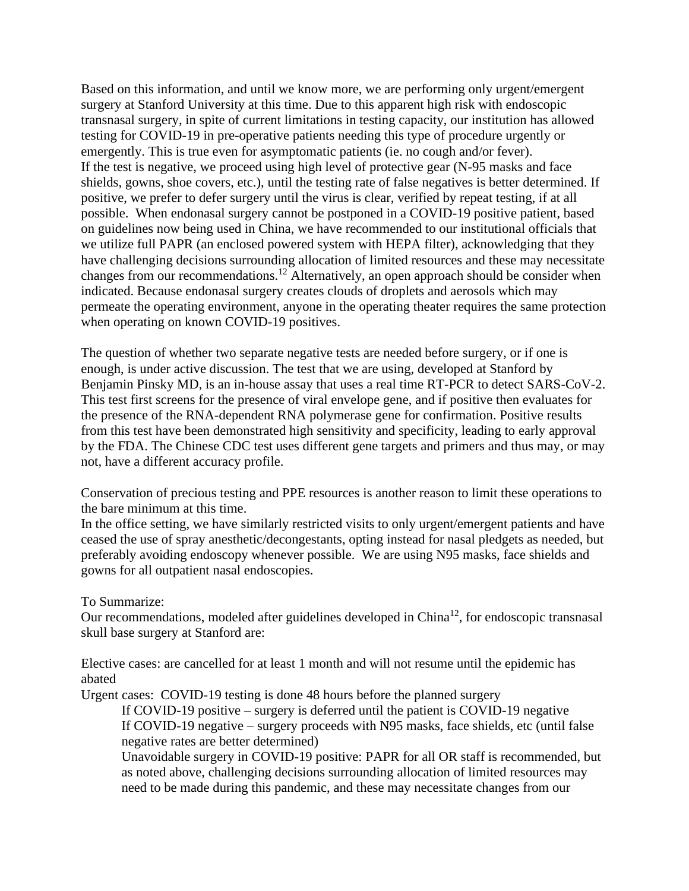Based on this information, and until we know more, we are performing only urgent/emergent surgery at Stanford University at this time. Due to this apparent high risk with endoscopic transnasal surgery, in spite of current limitations in testing capacity, our institution has allowed testing for COVID-19 in pre-operative patients needing this type of procedure urgently or emergently. This is true even for asymptomatic patients (ie. no cough and/or fever). If the test is negative, we proceed using high level of protective gear (N-95 masks and face shields, gowns, shoe covers, etc.), until the testing rate of false negatives is better determined. If positive, we prefer to defer surgery until the virus is clear, verified by repeat testing, if at all possible. When endonasal surgery cannot be postponed in a COVID-19 positive patient, based on guidelines now being used in China, we have recommended to our institutional officials that we utilize full PAPR (an enclosed powered system with HEPA filter), acknowledging that they have challenging decisions surrounding allocation of limited resources and these may necessitate changes from our recommendations.<sup>12</sup> Alternatively, an open approach should be consider when indicated. Because endonasal surgery creates clouds of droplets and aerosols which may permeate the operating environment, anyone in the operating theater requires the same protection when operating on known COVID-19 positives.

The question of whether two separate negative tests are needed before surgery, or if one is enough, is under active discussion. The test that we are using, developed at Stanford by Benjamin Pinsky MD, is an in-house assay that uses a real time RT-PCR to detect SARS-CoV-2. This test first screens for the presence of viral envelope gene, and if positive then evaluates for the presence of the RNA-dependent RNA polymerase gene for confirmation. Positive results from this test have been demonstrated high sensitivity and specificity, leading to early approval by the FDA. The Chinese CDC test uses different gene targets and primers and thus may, or may not, have a different accuracy profile.

Conservation of precious testing and PPE resources is another reason to limit these operations to the bare minimum at this time.

In the office setting, we have similarly restricted visits to only urgent/emergent patients and have ceased the use of spray anesthetic/decongestants, opting instead for nasal pledgets as needed, but preferably avoiding endoscopy whenever possible. We are using N95 masks, face shields and gowns for all outpatient nasal endoscopies.

## To Summarize:

Our recommendations, modeled after guidelines developed in  $China<sup>12</sup>$ , for endoscopic transnasal skull base surgery at Stanford are:

Elective cases: are cancelled for at least 1 month and will not resume until the epidemic has abated

Urgent cases: COVID-19 testing is done 48 hours before the planned surgery If COVID-19 positive – surgery is deferred until the patient is COVID-19 negative If COVID-19 negative – surgery proceeds with N95 masks, face shields, etc (until false negative rates are better determined)

Unavoidable surgery in COVID-19 positive: PAPR for all OR staff is recommended, but as noted above, challenging decisions surrounding allocation of limited resources may need to be made during this pandemic, and these may necessitate changes from our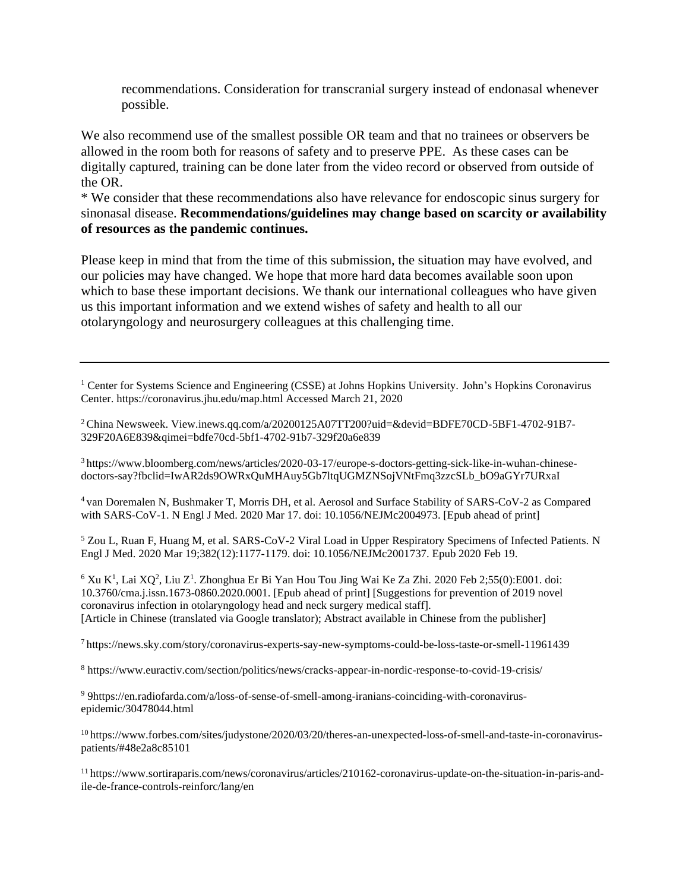recommendations. Consideration for transcranial surgery instead of endonasal whenever possible.

We also recommend use of the smallest possible OR team and that no trainees or observers be allowed in the room both for reasons of safety and to preserve PPE. As these cases can be digitally captured, training can be done later from the video record or observed from outside of the OR.

\* We consider that these recommendations also have relevance for endoscopic sinus surgery for sinonasal disease. **Recommendations/guidelines may change based on scarcity or availability of resources as the pandemic continues.**

Please keep in mind that from the time of this submission, the situation may have evolved, and our policies may have changed. We hope that more hard data becomes available soon upon which to base these important decisions. We thank our international colleagues who have given us this important information and we extend wishes of safety and health to all our otolaryngology and neurosurgery colleagues at this challenging time.

<sup>1</sup> Center for Systems Science and Engineering (CSSE) at Johns Hopkins University. John's Hopkins Coronavirus Center. https://coronavirus.jhu.edu/map.html Accessed March 21, 2020

<sup>2</sup> China Newsweek. View.inews.qq.com/a/20200125A07TT200?uid=&devid=BDFE70CD-5BF1-4702-91B7- 329F20A6E839&qimei=bdfe70cd-5bf1-4702-91b7-329f20a6e839

<sup>3</sup> https://www.bloomberg.com/news/articles/2020-03-17/europe-s-doctors-getting-sick-like-in-wuhan-chinesedoctors-say?fbclid=IwAR2ds9OWRxQuMHAuy5Gb7ltqUGMZNSojVNtFmq3zzcSLb\_bO9aGYr7URxaI

<sup>4</sup> van Doremalen N, Bushmaker T, Morris DH, et al. Aerosol and Surface Stability of SARS-CoV-2 as Compared with SARS-CoV-1. N Engl J Med. 2020 Mar 17. doi: 10.1056/NEJMc2004973. [Epub ahead of print]

<sup>5</sup> Zou L, Ruan F, Huang M, et al. SARS-CoV-2 Viral Load in Upper Respiratory Specimens of Infected Patients. N Engl J Med. 2020 Mar 19;382(12):1177-1179. doi: 10.1056/NEJMc2001737. Epub 2020 Feb 19.

 $6$  Xu K<sup>1</sup>, Lai XQ<sup>2</sup>, Liu Z<sup>1</sup>. Zhonghua Er Bi Yan Hou Tou Jing Wai Ke Za Zhi. 2020 Feb 2;55(0):E001. doi: 10.3760/cma.j.issn.1673-0860.2020.0001. [Epub ahead of print] [Suggestions for prevention of 2019 novel coronavirus infection in otolaryngology head and neck surgery medical staff]. [Article in Chinese (translated via Google translator); Abstract available in Chinese from the publisher]

<sup>7</sup>https://news.sky.com/story/coronavirus-experts-say-new-symptoms-could-be-loss-taste-or-smell-11961439

<sup>8</sup> https://www.euractiv.com/section/politics/news/cracks-appear-in-nordic-response-to-covid-19-crisis/

<sup>9</sup> 9https://en.radiofarda.com/a/loss-of-sense-of-smell-among-iranians-coinciding-with-coronavirusepidemic/30478044.html

10 https://www.forbes.com/sites/judystone/2020/03/20/theres-an-unexpected-loss-of-smell-and-taste-in-coronaviruspatients/#48e2a8c85101

<sup>11</sup> https://www.sortiraparis.com/news/coronavirus/articles/210162-coronavirus-update-on-the-situation-in-paris-andile-de-france-controls-reinforc/lang/en